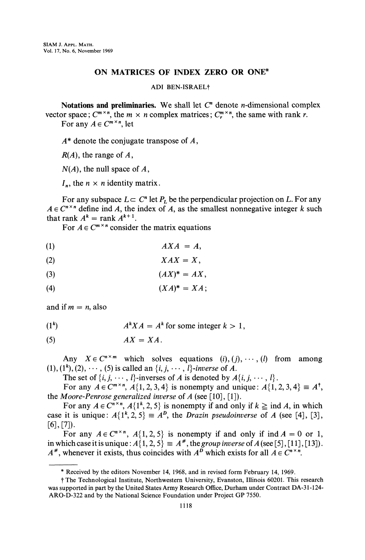## ON MATRICES OF INDEX ZERO OR ONE\*

## ADI BEN-ISRAELf

Notations and preliminaries. We shall let  $C<sup>n</sup>$  denote *n*-dimensional complex vector space;  $C^{m \times n}$ , the  $m \times n$  complex matrices;  $C^{m \times n}$ , the same with rank r.

For any  $A \in C^{m \times n}$ , let

 $A^*$  denote the conjugate transpose of  $A$ ,

 $R(A)$ , the range of A,

 $N(A)$ , the null space of A,

 $I_n$ , the  $n \times n$  identity matrix.

For any subspace  $L \subset C^n$  let  $P_L$  be the perpendicular projection on L. For any  $A \in C^{n \times n}$  define ind A, the index of A, as the smallest nonnegative integer k such that rank  $A^k = \text{rank } A^{k+1}$ . rank  $A^k = \text{rank } A^{k+1}$ .<br>For  $A \in C^{m \times n}$  consider the matrix equations

$$
AXA = A,
$$

$$
XAX=X,
$$

$$
(3) \hspace{3.1em} (AX)^* = AX,
$$

$$
(4) \t\t (XA)^* = XA
$$

and if  $m = n$ , also

 $(1^k)$  $A<sup>k</sup>XA = A<sup>k</sup>$  for some integer  $k > 1$ ,

(5)  $AX = XA$ .

Any  $X \in C^{n \times m}$  which solves equations  $(i), (j), \dots, (l)$  from among  $(1), (1^{\kappa}), (2), \cdots, (5)$  is called an  $\{i, j, \cdots, l\}$ -inverse of A.

The set of  $\{i, j, \dots, l\}$ -inverses of A is denoted by  $A\{i, j, \dots, l\}$ .

For any  $A \in \mathbb{C}^{m \times n}$ ,  $A\{1,2,3,4\}$  is nonempty and unique:  $A\{1,2,3,4\} \equiv A^{\dagger}$ , the Moore-Penrose generalized inverse of  $A$  (see [10], [1]).

For any  $A \in \mathbb{C}^{n \times n}$ ,  $A\{1^k, 2, 5\}$  is nonempty if and only if  $k \geq \text{ind } A$ , in which case it is unique:  $A\{1^k, 2, 5\} = A^D$ , the *Drazin pseudoinverse* of A (see [4], [3],  $[6]$ ,  $[7]$ ).

For any  $A \in \mathbb{C}^{n \times n}$ ,  $A\{1,2,5\}$  is nonempty if and only if ind  $A = 0$  or 1, in which case it is unique:  $A\{1, 2, 5\} \equiv A^*$ , the group inverse of A (see [5], [11], [13]). A<sup>\*</sup>, whenever it exists, thus coincides with  $A^p$  which exists for all  $A \in C^{n \times n}$ .

Received by the editors November 14, 1968, and in revised form February 14, 1969.

<sup>f</sup> The Technological Institute, Northwestern University, Evanston, Illinois 60201. This research was supported in part by the United States Army Research Office, Durham under Contract DA-31-124- ARO-D-322 and by the National Science Foundation under Project GP 7550.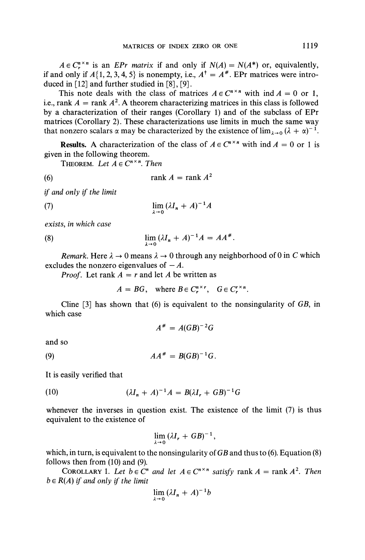$A \in C^{n \times n}$  is an *EPr matrix* if and only if  $N(A) = N(A^*)$  or, equivalently, if and only if  $A\{1, 2, 3, 4, 5\}$  is nonempty, i.e.,  $A^{\dagger} = A^*$ . EPr matrices were introduced in  $[12]$  and further studied in  $[8]$ ,  $[9]$ .

This note deals with the class of matrices  $A \in C^{n \times n}$  with  $\text{ind } A = 0$  or 1, i.e., rank  $A = \text{rank } A^2$ . A theorem characterizing matrices in this class is followed by a characterization of their ranges (Corollary 1) and of the subclass of EPr matrices (Corollary 2). These characterizations use limits in much the same way that nonzero scalars  $\alpha$  may be characterized by the existence of  $\lim_{\lambda \to 0} (\lambda + \alpha)^{-1}$ .

**Results.** A characterization of the class of  $A \in C^{n \times n}$  with ind  $A = 0$  or 1 is given in the following theorem.

THEOREM. Let  $A \in C^{n \times n}$ . Then

(6) rank  $A =$ rank  $A^2$ 

if and only if the limit

(7) 
$$
\lim_{\lambda \to 0} (\lambda I_n + A)^{-1} A
$$

exists, in which case

 $\lim_{\lambda \to 0} (\lambda I_n + A)^{-1} A = AA$  $(8)$ 

Remark. Here  $\lambda \to 0$  means  $\lambda \to 0$  through any neighborhood of 0 in C which excludes the nonzero eigenvalues of  $-A$ .

*Proof.* Let rank  $A = r$  and let A be written as

 $A = BG$ , where  $B \in C_r^{n \times r}$ ,  $G \in C_r^{r \times n}$ 

Cline  $[3]$  has shown that (6) is equivalent to the nonsingularity of GB, in which case

 $A^* = A(GB)^{-2}G$ 

and so

(9)  $AA^* = B(GB)^{-1}G$ .

It is easily verified that

$$
(10) \qquad (\lambda I_n + A)^{-1}A = B(\lambda I_r + GB)^{-1}G
$$

whenever the inverses in question exist. The existence of the limit (7) is thus equivalent to the existence of

$$
\lim_{\lambda\to 0} (\lambda I_r + GB)^{-1},
$$

which, in turn, is equivalent to the nonsingularity of  $GB$  and thus to (6). Equation (8) follows then from (10) and (9).

COROLLARY 1. Let  $b \in \mathbb{C}^n$  and let  $A \in \mathbb{C}^{n \times n}$  satisfy rank  $A = \text{rank } A^2$ . Then  $b \in R(A)$  if and only if the limit

$$
\lim_{\lambda \to 0} (\lambda I_n + A)^{-1} b
$$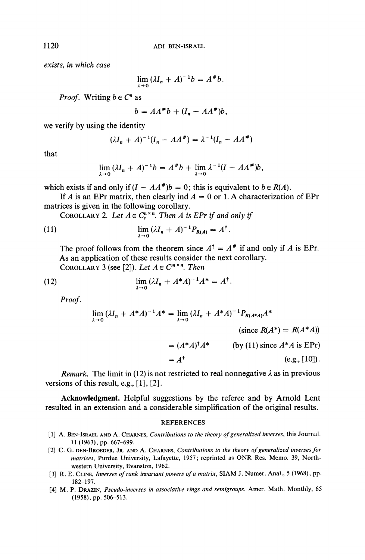exists, in which case

$$
\lim_{\lambda\to 0} (\lambda I_n + A)^{-1}b = A^*b.
$$

*Proof.* Writing  $b \in C^n$  as

$$
b = AA^{\#}b + (I_n - AA^{\#})b,
$$

we verify by using the identity

$$
(\lambda I_n + A)^{-1}(I_n - AA^*) = \lambda^{-1}(I_n - AA^*)
$$

that

$$
\lim_{\lambda\to 0} (\lambda I_n + A)^{-1}b = A^{\#}b + \lim_{\lambda\to 0} \lambda^{-1}(I - AA^{\#})b,
$$

which exists if and only if  $(I - AA^*)b = 0$ ; this is equivalent to  $b \in R(A)$ .

If A is an EPr matrix, then clearly ind  $A = 0$  or 1. A characterization of EPr matrices is given in the following corollary.

COROLLARY 2. Let  $A \in C^{n \times n}_{n}$ . Then A is EPr if and only if

(11) 
$$
\lim_{\lambda \to 0} (\lambda I_n + A)^{-1} P_{R(A)} = A^{\dagger}.
$$

The proof follows from the theorem since  $A^{\dagger} = A^*$  if and only if A is EPr. As an application of these results consider the next corollary. COROLLARY 3 (see [2]). Let  $A \in C^{m \times n}$ . Then

(12) 
$$
\lim_{\lambda \to 0} (\lambda I_n + A^* A)^{-1} A^* = A^{\dagger}.
$$

Proof.

$$
\lim_{\lambda \to 0} (\lambda I_n + A^* A)^{-1} A^* = \lim_{\lambda \to 0} (\lambda I_n + A^* A)^{-1} P_{R(A^* A)} A^*
$$

(since  $R(A^*) = R(A^*A)$ )

$$
= (A^*A)^{\dagger} A^* \qquad \text{(by (11) since } A^*A \text{ is EPr)}
$$

$$
= A^{\dagger} \qquad (\text{e.g., } [10]).
$$

Remark. The limit in (12) is not restricted to real nonnegative  $\lambda$  as in previous versions of this result, e.g., [1], [2].

Acknowledgment. Helpful suggestions by the referee and by Arnold Lent resulted in an extension and a considerable simplification of the original results.

## **REFERENCES**

- [1] A. BEN-ISRAEL AND A. CHARNES, Contributions to the theory of generalized inverses, this Journal, 11 (1963), pp. 667-699.
- [2] C. G. DEN-BROEDER, JR. AND A. CHARNES, Contributions to the theory of generalized inverses for matrices, Purdue University, Lafayette, 1957; reprinted as ONR Res. Memo. 39, Northwestern University, Evanston, 1962.
- [3] R. E. CLINE, Inverses of rank invariant powers of a matrix, SIAM J. Numer. Anal., 5 (1968), pp. 182-197.
- [4] M. P. DRAZIN, Pseudo-inverses in associative rings and semigroups, Amer. Math. Monthly, 65 (1958), pp. 506-513.